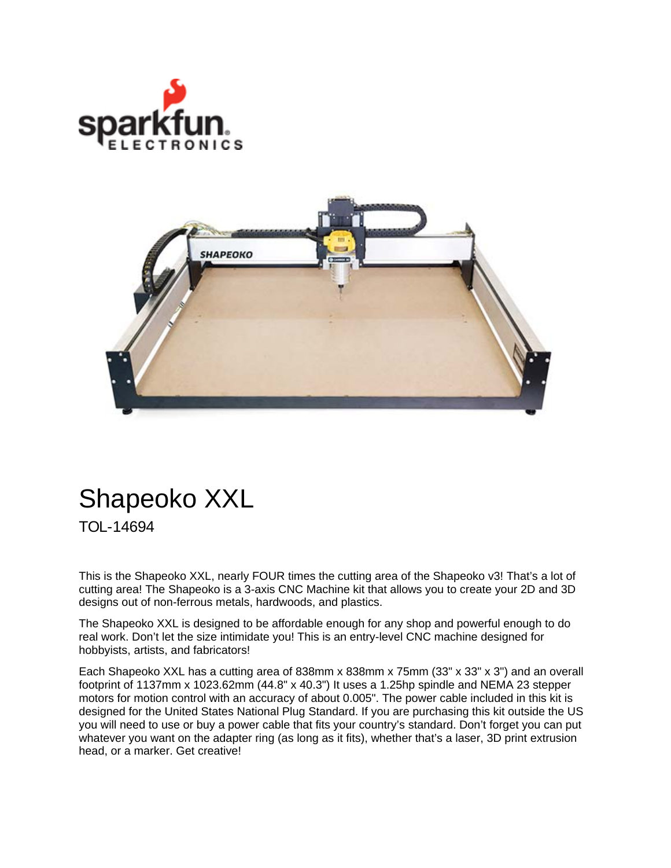



## Shapeoko XXL

TOL-14694

This is the Shapeoko XXL, nearly FOUR times the cutting area of the Shapeoko v3! That's a lot of cutting area! The Shapeoko is a 3-axis CNC Machine kit that allows you to create your 2D and 3D designs out of non-ferrous metals, hardwoods, and plastics.

The Shapeoko XXL is designed to be affordable enough for any shop and powerful enough to do real work. Don't let the size intimidate you! This is an entry-level CNC machine designed for hobbyists, artists, and fabricators!

Each Shapeoko XXL has a cutting area of 838mm x 838mm x 75mm (33" x 33" x 3") and an overall footprint of 1137mm x 1023.62mm (44.8" x 40.3") It uses a 1.25hp spindle and NEMA 23 stepper motors for motion control with an accuracy of about 0.005". The power cable included in this kit is designed for the United States National Plug Standard. If you are purchasing this kit outside the US you will need to use or buy a power cable that fits your country's standard. Don't forget you can put whatever you want on the adapter ring (as long as it fits), whether that's a laser, 3D print extrusion head, or a marker. Get creative!